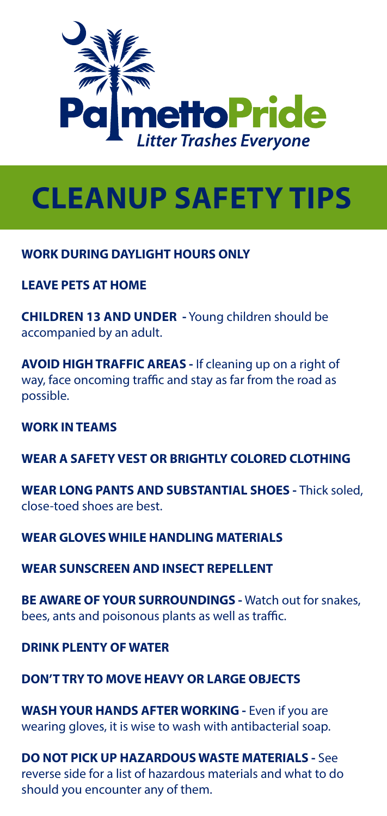

# **CLEANUP SAFETY TIPS**

## **WORK DURING DAYLIGHT HOURS ONLY**

**LEAVE PETS AT HOME**

**CHILDREN 13 AND UNDER -** Young children should be accompanied by an adult.

**AVOID HIGH TRAFFIC AREAS -** If cleaning up on a right of way, face oncoming traffic and stay as far from the road as possible.

#### **WORK IN TEAMS**

**WEAR A SAFETY VEST OR BRIGHTLY COLORED CLOTHING** 

**WEAR LONG PANTS AND SUBSTANTIAL SHOES -** Thick soled, close-toed shoes are best.

**WEAR GLOVES WHILE HANDLING MATERIALS**

**WEAR SUNSCREEN AND INSECT REPELLENT**

**BE AWARE OF YOUR SURROUNDINGS -** Watch out for snakes, bees, ants and poisonous plants as well as traffic.

**DRINK PLENTY OF WATER**

**DON'T TRY TO MOVE HEAVY OR LARGE OBJECTS**

**WASH YOUR HANDS AFTER WORKING -** Even if you are wearing gloves, it is wise to wash with antibacterial soap.

**DO NOT PICK UP HAZARDOUS WASTE MATERIALS -** See reverse side for a list of hazardous materials and what to do should you encounter any of them.